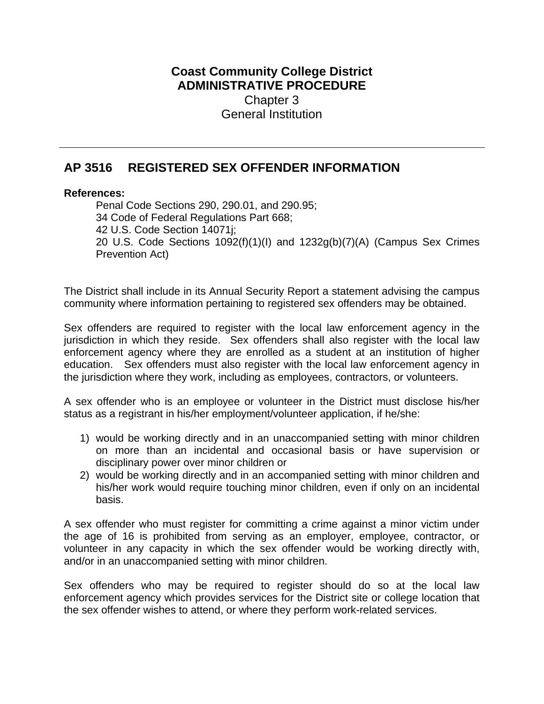## **Coast Community College District ADMINISTRATIVE PROCEDURE** Chapter 3 General Institution

## **AP 3516 REGISTERED SEX OFFENDER INFORMATION**

## **References:**

Penal Code Sections 290, 290.01, and 290.95; 34 Code of Federal Regulations Part 668; 42 U.S. Code Section 14071j; 20 U.S. Code Sections 1092(f)(1)(I) and 1232g(b)(7)(A) (Campus Sex Crimes Prevention Act)

The District shall include in its Annual Security Report a statement advising the campus community where information pertaining to registered sex offenders may be obtained.

Sex offenders are required to register with the local law enforcement agency in the jurisdiction in which they reside. Sex offenders shall also register with the local law enforcement agency where they are enrolled as a student at an institution of higher education. Sex offenders must also register with the local law enforcement agency in the jurisdiction where they work, including as employees, contractors, or volunteers.

A sex offender who is an employee or volunteer in the District must disclose his/her status as a registrant in his/her employment/volunteer application, if he/she:

- 1) would be working directly and in an unaccompanied setting with minor children on more than an incidental and occasional basis or have supervision or disciplinary power over minor children or
- 2) would be working directly and in an accompanied setting with minor children and his/her work would require touching minor children, even if only on an incidental basis.

A sex offender who must register for committing a crime against a minor victim under the age of 16 is prohibited from serving as an employer, employee, contractor, or volunteer in any capacity in which the sex offender would be working directly with, and/or in an unaccompanied setting with minor children.

Sex offenders who may be required to register should do so at the local law enforcement agency which provides services for the District site or college location that the sex offender wishes to attend, or where they perform work-related services.